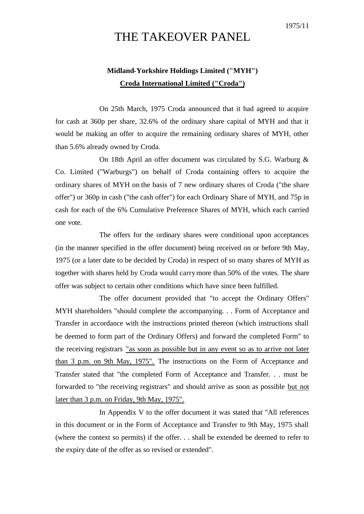## THE TAKEOVER PANEL

## **Midland-Yorkshire Holdings Limited ("MYH") Croda International Limited ("Croda")**

On 25th March, 1975 Croda announced that it had agreed to acquire for cash at 360p per share, 32.6% of the ordinary share capital of MYH and that it would be making an offer to acquire the remaining ordinary shares of MYH, other than 5.6% already owned by Croda.

On 18th April an offer document was circulated by S.G. Warburg & Co. Limited ("Warburgs") on behalf of Croda containing offers to acquire the ordinary shares of MYH on the basis of 7 new ordinary shares of Croda ("the share offer") or 360p in cash ("the cash offer") for each Ordinary Share of MYH, and 75p in cash for each of the 6% Cumulative Preference Shares of MYH, which each carried one vote.

The offers for the ordinary shares were conditional upon acceptances (in the manner specified in the offer document) being received on or before 9th May, 1975 (or a later date to be decided by Croda) in respect of so many shares of MYH as together with shares held by Croda would carrymore than 50% of the votes. The share offer was subject to certain other conditions which have since been fulfilled.

The offer document provided that "to accept the Ordinary Offers" MYH shareholders "should complete the accompanying. . . Form of Acceptance and Transfer in accordance with the instructions printed thereon (which instructions shall be deemed to form part of the Ordinary Offers) and forward the completed Form" to the receiving registrars "as soon as possible but in any event so as to arrive not later than 3 p.m. on 9th May, 1975". The instructions on the Form of Acceptance and Transfer stated that "the completed Form of Acceptance and Transfer. . . must be forwarded to "the receiving registrars" and should arrive as soon as possible but not later than 3 p.m. on Friday, 9th May, 1975".

In Appendix V to the offer document it was stated that "All references in this document or in the Form of Acceptance and Transfer to 9th May, 1975 shall (where the context so permits) if the offer. . . shall be extended be deemed to refer to the expiry date of the offer as so revised or extended".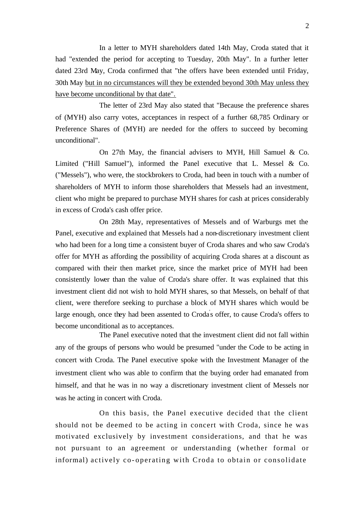In a letter to MYH shareholders dated 14th May, Croda stated that it had "extended the period for accepting to Tuesday, 20th May". In a further letter dated 23rd May, Croda confirmed that "the offers have been extended until Friday, 30th May but in no circumstances will they be extended beyond 30th May unless they have become unconditional by that date".

The letter of 23rd May also stated that "Because the preference shares of (MYH) also carry votes, acceptances in respect of a further 68,785 Ordinary or Preference Shares of (MYH) are needed for the offers to succeed by becoming unconditional".

On 27th May, the financial advisers to MYH, Hill Samuel & Co. Limited ("Hill Samuel"), informed the Panel executive that L. Messel & Co. ("Messels"), who were, the stockbrokers to Croda, had been in touch with a number of shareholders of MYH to inform those shareholders that Messels had an investment, client who might be prepared to purchase MYH shares for cash at prices considerably in excess of Croda's cash offer price.

On 28th May, representatives of Messels and of Warburgs met the Panel, executive and explained that Messels had a non-discretionary investment client who had been for a long time a consistent buyer of Croda shares and who saw Croda's offer for MYH as affording the possibility of acquiring Croda shares at a discount as compared with their then market price, since the market price of MYH had been consistently lower than the value of Croda's share offer. It was explained that this investment client did not wish to hold MYH shares, so that Messels*,* on behalf of that client, were therefore seeking to purchase a block of MYH shares which would be large enough, once they had been assented to Croda's offer, to cause Croda's offers to become unconditional as to acceptances.

The Panel executive noted that the investment client did not fall within any of the groups of persons who would be presumed "under the Code to be acting in concert with Croda. The Panel executive spoke with the Investment Manager of the investment client who was able to confirm that the buying order had emanated from himself, and that he was in no way a discretionary investment client of Messels nor was he acting in concert with Croda.

On this basis, the Panel executive decided that the client should not be deemed to be acting in concert with Croda, since he was motivated exclusively by investment considerations, and that he was not pursuant to an agreement or understanding (whether formal or informal) actively co- operating with Croda to obtain or consolidate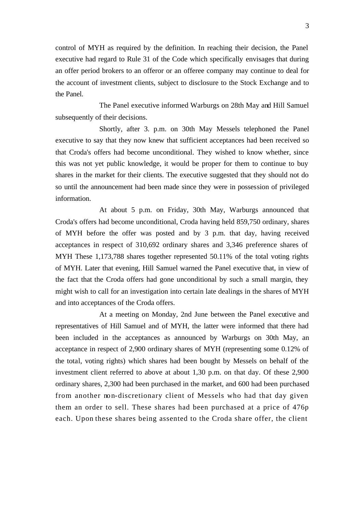control of MYH as required by the definition. In reaching their decision, the Panel executive had regard to Rule 31 of the Code which specifically envisages that during an offer period brokers to an offeror or an offeree company may continue to deal for the account of investment clients, subject to disclosure to the Stock Exchange and to the Panel.

The Panel executive informed Warburgs on 28th May and Hill Samuel subsequently of their decisions.

Shortly, after 3. p.m. on 30th May Messels telephoned the Panel executive to say that they now knew that sufficient acceptances had been received so that Croda's offers had become unconditional. They wished to know whether, since this was not yet public knowledge, it would be proper for them to continue to buy shares in the market for their clients. The executive suggested that they should not do so until the announcement had been made since they were in possession of privileged information.

At about 5 p.m. on Friday, 30th May, Warburgs announced that Croda's offers had become unconditional, Croda having held 859,750 ordinary, shares of MYH before the offer was posted and by 3 p.m. that day, having received acceptances in respect of 310,692 ordinary shares and 3,346 preference shares of MYH These 1,173,788 shares together represented 50.11% of the total voting rights of MYH. Later that evening, Hill Samuel warned the Panel executive that, in view of the fact that the Croda offers had gone unconditional by such a small margin, they might wish to call for an investigation into certain late dealings in the shares of MYH and into acceptances of the Croda offers.

At a meeting on Monday, 2nd June between the Panel executive and representatives of Hill Samuel and of MYH, the latter were informed that there had been included in the acceptances as announced by Warburgs on 30th May, an acceptance in respect of 2,900 ordinary shares of MYH (representing some 0.12% of the total, voting rights) which shares had been bought by Messels on behalf of the investment client referred to above at about 1,30 p.m. on that day. Of these 2,900 ordinary shares, 2,300 had been purchased in the market, and 600 had been purchased from another non-discretionary client of Messels who had that day given them an order to sell. These shares had been purchased at a price of 476p each. Upon these shares being assented to the Croda share offer, the client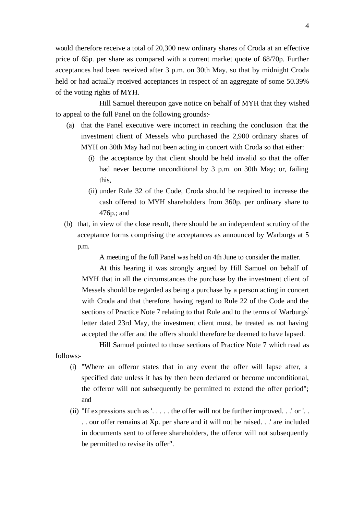would therefore receive a total of 20,300 new ordinary shares of Croda at an effective price of 65p. per share as compared with a current market quote of 68/70p. Further acceptances had been received after 3 p.m. on 30th May, so that by midnight Croda held or had actually received acceptances in respect of an aggregate of some 50.39% of the voting rights of MYH.

Hill Samuel thereupon gave notice on behalf of MYH that they wished to appeal to the full Panel on the following grounds:-

- (a) that the Panel executive were incorrect in reaching the conclusion that the investment client of Messels who purchased the 2,900 ordinary shares of MYH on 30th May had not been acting in concert with Croda so that either:
	- (i) the acceptance by that client should be held invalid so that the offer had never become unconditional by 3 p.m. on 30th May; or, failing this,
	- (ii) under Rule 32 of the Code, Croda should be required to increase the cash offered to MYH shareholders from 360p. per ordinary share to 476p.; and
- (b) that, in view of the close result, there should be an independent scrutiny of the acceptance forms comprising the acceptances as announced by Warburgs at 5 p.m.

A meeting of the full Panel was held on 4th June to consider the matter.

At this hearing it was strongly argued by Hill Samuel on behalf of MYH that in all the circumstances the purchase by the investment client of Messels should be regarded as being a purchase by a person acting in concert with Croda and that therefore, having regard to Rule 22 of the Code and the sections of Practice Note 7 relating to that Rule and to the terms of Warburgs' letter dated 23rd May, the investment client must, be treated as not having accepted the offer and the offers should therefore be deemed to have lapsed.

Hill Samuel pointed to those sections of Practice Note 7 which read as

follows:-

- (i) "Where an offeror states that in any event the offer will lapse after, a specified date unless it has by then been declared or become unconditional, the offeror will not subsequently be permitted to extend the offer period"; and
- (ii) "If expressions such as  $\ldots$  . the offer will not be further improved. . .' or  $\ldots$ . . our offer remains at Xp. per share and it will not be raised. . .' are included in documents sent to offeree shareholders, the offeror will not subsequently be permitted to revise its offer".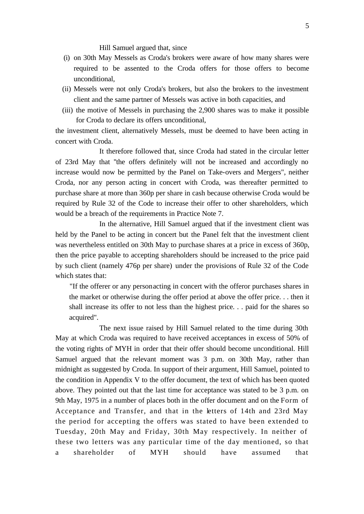Hill Samuel argued that, since

- (i) on 30th May Messels as Croda's brokers were aware of how many shares were required to be assented to the Croda offers for those offers to become unconditional,
- (ii) Messels were not only Croda's brokers, but also the brokers to the investment client and the same partner of Messels was active in both capacities, and
- (iii) the motive of Messels in purchasing the 2,900 shares was to make it possible for Croda to declare its offers unconditional,

the investment client, alternatively Messels, must be deemed to have been acting in concert with Croda.

It therefore followed that, since Croda had stated in the circular letter of 23rd May that ''the offers definitely will not be increased and accordingly no increase would now be permitted by the Panel on Take-overs and Mergers", neither Croda, nor any person acting in concert with Croda, was thereafter permitted to purchase share at more than 360p per share in cash because otherwise Croda would be required by Rule 32 of the Code to increase their offer to other shareholders, which would be a breach of the requirements in Practice Note 7.

In the alternative, Hill Samuel argued that if the investment client was held by the Panel to be acting in concert but the Panel felt that the investment client was nevertheless entitled on 30th May to purchase shares at a price in excess of 360p, then the price payable to accepting shareholders should be increased to the price paid by such client (namely 476p per share) under the provisions of Rule 32 of the Code which states that:

"If the offerer or any personacting in concert with the offeror purchases shares in the market or otherwise during the offer period at above the offer price. . . then it shall increase its offer to not less than the highest price. . . paid for the shares so acquired".

The next issue raised by Hill Samuel related to the time during 30th May at which Croda was required to have received acceptances in excess of 50% of the voting rights of' MYH in order that their offer should become unconditional. Hill Samuel argued that the relevant moment was 3 p.m. on 30th May, rather than midnight as suggested by Croda. In support of their argument, Hill Samuel, pointed to the condition in Appendix V to the offer document, the text of which has been quoted above. They pointed out that the last time for acceptance was stated to be 3 p.m. on 9th May, 1975 in a number of places both in the offer document and on the Form of Acceptance and Transfer, and that in the letters of 14th and 23rd May the period for accepting the offers was stated to have been extended to Tuesday, 20th May and Friday, 30th May respectively. In neither of these two letters was any particular time of the day mentioned, so that a shareholder of MYH should have assumed that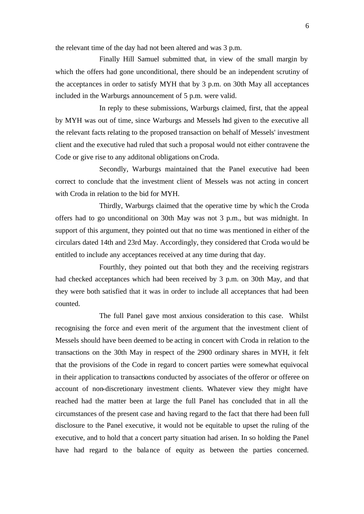the relevant time of the day had not been altered and was 3 p.m.

Finally Hill Samuel submitted that, in view of the small margin by which the offers had gone unconditional, there should be an independent scrutiny of the acceptances in order to satisfy MYH that by 3 p.m. on 30th May all acceptances included in the Warburgs announcement of 5 p.m. were valid.

In reply to these submissions, Warburgs claimed, first, that the appeal by MYH was out of time, since Warburgs and Messels had given to the executive all the relevant facts relating to the proposed transaction on behalf of Messels' investment client and the executive had ruled that such a proposal would not either contravene the Code or give rise to any additonal obligations on Croda.

Secondly, Warburgs maintained that the Panel executive had been correct to conclude that the investment client of Messels was not acting in concert with Croda in relation to the bid for MYH.

Thirdly, Warburgs claimed that the operative time by which the Croda offers had to go unconditional on 30th May was not 3 p.m., but was midnight. In support of this argument, they pointed out that no time was mentioned in either of the circulars dated 14th and 23rd May. Accordingly, they considered that Croda would be entitled to include any acceptances received at any time during that day.

Fourthly, they pointed out that both they and the receiving registrars had checked acceptances which had been received by 3 p.m. on 30th May, and that they were both satisfied that it was in order to include all acceptances that had been counted.

The full Panel gave most anxious consideration to this case. Whilst recognising the force and even merit of the argument that the investment client of Messels should have been deemed to be acting in concert with Croda in relation to the transactions on the 30th May in respect of the 2900 ordinary shares in MYH, it felt that the provisions of the Code in regard to concert parties were somewhat equivocal in their application to transactions conducted by associates of the offeror or offeree on account of non-discretionary investment clients. Whatever view they might have reached had the matter been at large the full Panel has concluded that in all the circumstances of the present case and having regard to the fact that there had been full disclosure to the Panel executive, it would not be equitable to upset the ruling of the executive, and to hold that a concert party situation had arisen. In so holding the Panel have had regard to the balance of equity as between the parties concerned.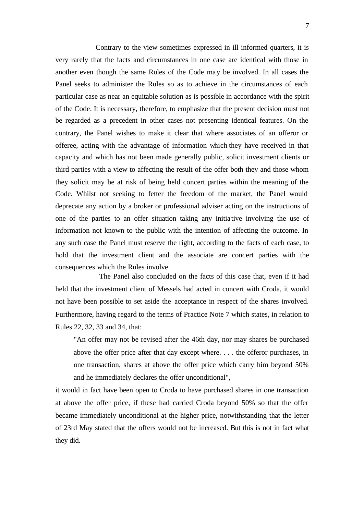Contrary to the view sometimes expressed in ill informed quarters, it is very rarely that the facts and circumstances in one case are identical with those in another even though the same Rules of the Code may be involved. In all cases the Panel seeks to administer the Rules so as to achieve in the circumstances of each particular case as near an equitable solution as is possible in accordance with the spirit of the Code. It is necessary, therefore, to emphasize that the present decision must not be regarded as a precedent in other cases not presenting identical features. On the contrary, the Panel wishes to make it clear that where associates of an offeror or offeree, acting with the advantage of information which they have received in that capacity and which has not been made generally public, solicit investment clients or third parties with a view to affecting the result of the offer both they and those whom they solicit may be at risk of being held concert parties within the meaning of the Code. Whilst not seeking to fetter the freedom of the market, the Panel would deprecate any action by a broker or professional adviser acting on the instructions of one of the parties to an offer situation taking any initia tive involving the use of information not known to the public with the intention of affecting the outcome. In any such case the Panel must reserve the right, according to the facts of each case, to hold that the investment client and the associate are concert parties with the consequences which the Rules involve.

The Panel also concluded on the facts of this case that, even if it had held that the investment client of Messels had acted in concert with Croda, it would not have been possible to set aside the acceptance in respect of the shares involved. Furthermore, having regard to the terms of Practice Note 7 which states, in relation to Rules 22, 32, 33 and 34, that:

"An offer may not be revised after the 46th day, nor may shares be purchased above the offer price after that day except where. . . . the offeror purchases, in one transaction, shares at above the offer price which carry him beyond 50% and he immediately declares the offer unconditional",

it would in fact have been open to Croda to have purchased shares in one transaction at above the offer price, if these had carried Croda beyond 50% so that the offer became immediately unconditional at the higher price, notwithstanding that the letter of 23rd May stated that the offers would not be increased. But this is not in fact what they did.